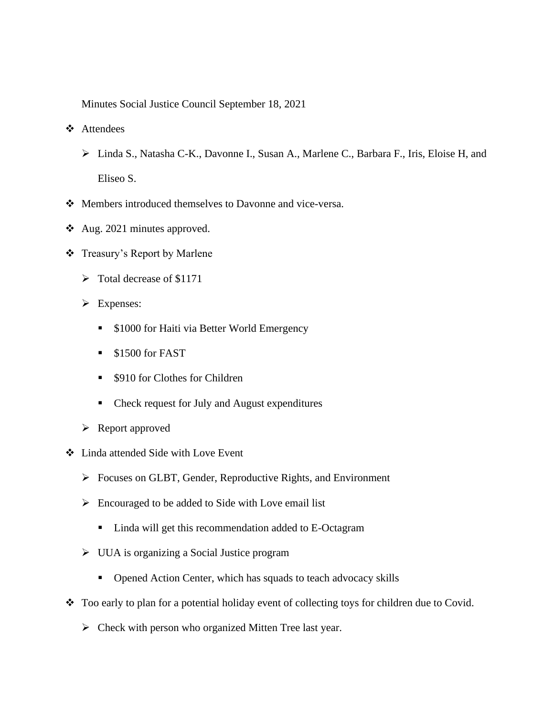Minutes Social Justice Council September 18, 2021

- ❖ Attendees
	- ➢ Linda S., Natasha C-K., Davonne I., Susan A., Marlene C., Barbara F., Iris, Eloise H, and Eliseo S.
- ❖ Members introduced themselves to Davonne and vice-versa.
- ❖ Aug. 2021 minutes approved.
- ❖ Treasury's Report by Marlene
	- ➢ Total decrease of \$1171
	- ➢ Expenses:
		- \$1000 for Haiti via Better World Emergency
		- \$1500 for FAST
		- \$910 for Clothes for Children
		- Check request for July and August expenditures
	- ➢ Report approved
- ❖ Linda attended Side with Love Event
	- ➢ Focuses on GLBT, Gender, Reproductive Rights, and Environment
	- ➢ Encouraged to be added to Side with Love email list
		- Linda will get this recommendation added to E-Octagram
	- ➢ UUA is organizing a Social Justice program
		- Opened Action Center, which has squads to teach advocacy skills
- ❖ Too early to plan for a potential holiday event of collecting toys for children due to Covid.
	- ➢ Check with person who organized Mitten Tree last year.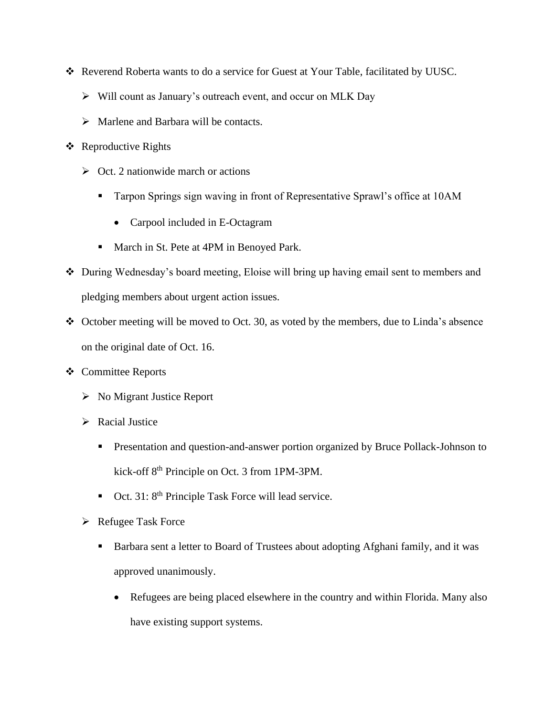- ❖ Reverend Roberta wants to do a service for Guest at Your Table, facilitated by UUSC.
	- ➢ Will count as January's outreach event, and occur on MLK Day
	- $\triangleright$  Marlene and Barbara will be contacts.
- ❖ Reproductive Rights
	- $\triangleright$  Oct. 2 nationwide march or actions
		- **Tarpon Springs sign waving in front of Representative Sprawl's office at 10AM** 
			- Carpool included in E-Octagram
		- March in St. Pete at 4PM in Benoyed Park.
- ❖ During Wednesday's board meeting, Eloise will bring up having email sent to members and pledging members about urgent action issues.
- ❖ October meeting will be moved to Oct. 30, as voted by the members, due to Linda's absence on the original date of Oct. 16.
- ❖ Committee Reports
	- ➢ No Migrant Justice Report
	- ➢ Racial Justice
		- **•** Presentation and question-and-answer portion organized by Bruce Pollack-Johnson to kick-off 8th Principle on Oct. 3 from 1PM-3PM.
		- $\bullet$  Oct. 31: 8<sup>th</sup> Principle Task Force will lead service.
	- ➢ Refugee Task Force
		- Barbara sent a letter to Board of Trustees about adopting Afghani family, and it was approved unanimously.
			- Refugees are being placed elsewhere in the country and within Florida. Many also have existing support systems.